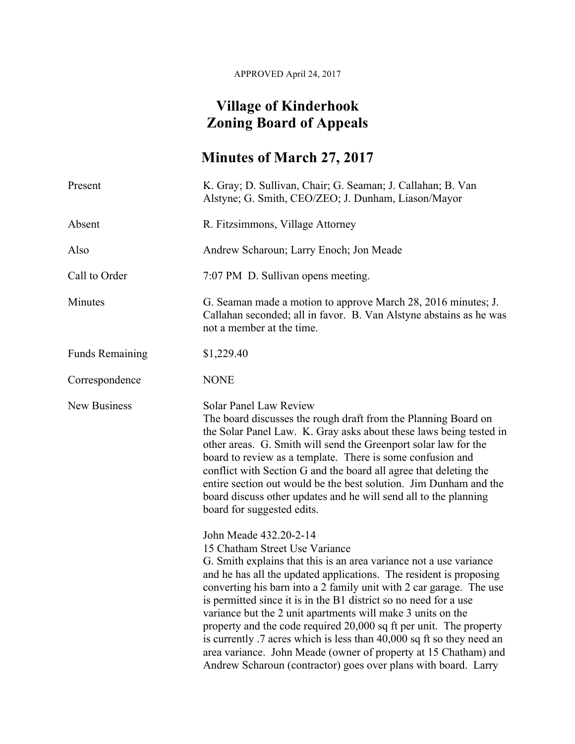APPROVED April 24, 2017

## **Village of Kinderhook Zoning Board of Appeals**

## **Minutes of March 27, 2017**

| Present                | K. Gray; D. Sullivan, Chair; G. Seaman; J. Callahan; B. Van<br>Alstyne; G. Smith, CEO/ZEO; J. Dunham, Liason/Mayor                                                                                                                                                                                                                                                                                                                                                                                                                                                                                                                                                                                 |
|------------------------|----------------------------------------------------------------------------------------------------------------------------------------------------------------------------------------------------------------------------------------------------------------------------------------------------------------------------------------------------------------------------------------------------------------------------------------------------------------------------------------------------------------------------------------------------------------------------------------------------------------------------------------------------------------------------------------------------|
| Absent                 | R. Fitzsimmons, Village Attorney                                                                                                                                                                                                                                                                                                                                                                                                                                                                                                                                                                                                                                                                   |
| Also                   | Andrew Scharoun; Larry Enoch; Jon Meade                                                                                                                                                                                                                                                                                                                                                                                                                                                                                                                                                                                                                                                            |
| Call to Order          | 7:07 PM D. Sullivan opens meeting.                                                                                                                                                                                                                                                                                                                                                                                                                                                                                                                                                                                                                                                                 |
| Minutes                | G. Seaman made a motion to approve March 28, 2016 minutes; J.<br>Callahan seconded; all in favor. B. Van Alstyne abstains as he was<br>not a member at the time.                                                                                                                                                                                                                                                                                                                                                                                                                                                                                                                                   |
| <b>Funds Remaining</b> | \$1,229.40                                                                                                                                                                                                                                                                                                                                                                                                                                                                                                                                                                                                                                                                                         |
| Correspondence         | <b>NONE</b>                                                                                                                                                                                                                                                                                                                                                                                                                                                                                                                                                                                                                                                                                        |
| <b>New Business</b>    | <b>Solar Panel Law Review</b><br>The board discusses the rough draft from the Planning Board on<br>the Solar Panel Law. K. Gray asks about these laws being tested in<br>other areas. G. Smith will send the Greenport solar law for the<br>board to review as a template. There is some confusion and<br>conflict with Section G and the board all agree that deleting the<br>entire section out would be the best solution. Jim Dunham and the<br>board discuss other updates and he will send all to the planning<br>board for suggested edits.                                                                                                                                                 |
|                        | John Meade 432.20-2-14<br>15 Chatham Street Use Variance<br>G. Smith explains that this is an area variance not a use variance<br>and he has all the updated applications. The resident is proposing<br>converting his barn into a 2 family unit with 2 car garage. The use<br>is permitted since it is in the B1 district so no need for a use<br>variance but the 2 unit apartments will make 3 units on the<br>property and the code required 20,000 sq ft per unit. The property<br>is currently .7 acres which is less than 40,000 sq ft so they need an<br>area variance. John Meade (owner of property at 15 Chatham) and<br>Andrew Scharoun (contractor) goes over plans with board. Larry |